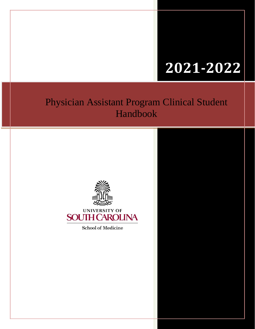# **2021-2022**

## Physician Assistant Program Clinical Student Handbook





**School of Medicine**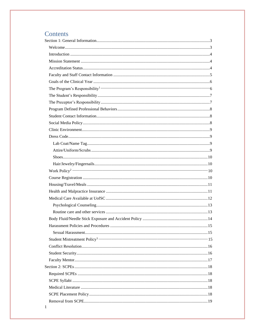## Contents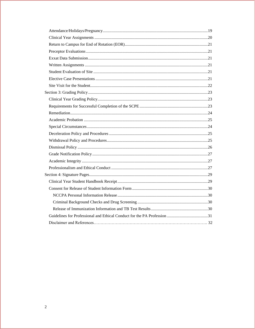<span id="page-2-0"></span>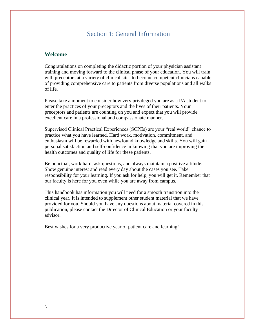## Section 1: General Information

#### <span id="page-3-0"></span>**Welcome**

Congratulations on completing the didactic portion of your physician assistant training and moving forward to the clinical phase of your education. You will train with preceptors at a variety of clinical sites to become competent clinicians capable of providing comprehensive care to patients from diverse populations and all walks of life.

Please take a moment to consider how very privileged you are as a PA student to enter the practices of your preceptors and the lives of their patients. Your preceptors and patients are counting on you and expect that you will provide excellent care in a professional and compassionate manner.

Supervised Clinical Practical Experiences (SCPEs) are your "real world" chance to practice what you have learned. Hard work, motivation, commitment, and enthusiasm will be rewarded with newfound knowledge and skills. You will gain personal satisfaction and self-confidence in knowing that you are improving the health outcomes and quality of life for these patients.

Be punctual, work hard, ask questions, and always maintain a positive attitude. Show genuine interest and read every day about the cases you see. Take responsibility for your learning. If you ask for help, you will get it. Remember that our faculty is here for you even while you are away from campus.

This handbook has information you will need for a smooth transition into the clinical year. It is intended to supplement other student material that we have provided for you. Should you have any questions about material covered in this publication, please contact the Director of Clinical Education or your faculty advisor.

Best wishes for a very productive year of patient care and learning!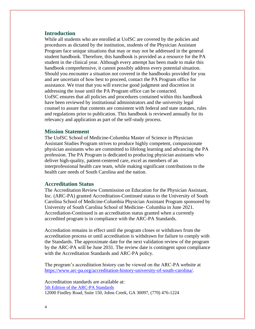#### <span id="page-4-0"></span>**Introduction**

While all students who are enrolled at UofSC are covered by the policies and procedures as dictated by the institution, students of the Physician Assistant Program face unique situations that may or may not be addressed in the general student handbook. Therefore, this handbook is provided as a resource for the PA student in the clinical year. Although every attempt has been made to make this handbook comprehensive, it cannot possibly address every potential situation. Should you encounter a situation not covered in the handbooks provided for you and are uncertain of how best to proceed, contact the PA Program office for assistance. We trust that you will exercise good judgment and discretion in addressing the issue until the PA Program office can be contacted. UofSC ensures that all policies and procedures contained within this handbook have been reviewed by institutional administrators and the university legal counsel to assure that contents are consistent with federal and state statutes, rules and regulations prior to publication. This handbook is reviewed annually for its relevancy and application as part of the self-study process.

#### <span id="page-4-1"></span>**Mission Statement**

The UofSC School of Medicine-Columbia Master of Science in Physician Assistant Studies Program strives to produce highly competent, compassionate physician assistants who are committed to lifelong learning and advancing the PA profession. The PA Program is dedicated to producing physician assistants who deliver high-quality, patient-centered care, excel as members of an interprofessional health care team, while making significant contributions to the health care needs of South Carolina and the nation.

#### <span id="page-4-2"></span>**Accreditation Status**

The Accreditation Review Commission on Education for the Physician Assistant, Inc. (ARC-PA) granted Accreditation-Continued status to the University of South Carolina School of Medicine-Columbia Physician Assistant Program sponsored by University of South Carolina School of Medicine- Columbia in June 2021. Accrediation-Continued is an accreditation status granted when a currently accredited program is in compliance with the ARC-PA Standards.

Accrediation remains in effect until the program closes or withdraws from the accreditation process or until accreditation is withdrawn for failure to comply with the Standards. The approximate date for the next validation review of the program by the ARC-PA will be June 2031. The review date is contingent upon compliance with the Accreditation Standards and ARC-PA policy.

The program's accreditation history can be viewed on the ARC-PA website at [https://www.arc-pa.org/accreditation-history-university-of-south-carolina/.](https://www.arc-pa.org/accreditation-history-university-of-south-carolina/)

Accreditation standards are available at: [5th Edition of the ARC-PA Standards](http://www.arc-pa.org/wp-content/uploads/2020/10/Standards-5th-Ed-Sept-2020.pdf) 12000 Findley Road, Suite 150, Johns Creek, GA 30097, (770) 476-1224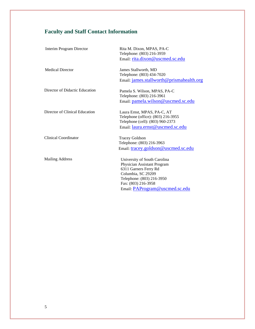## <span id="page-5-0"></span>**Faculty and Staff Contact Information**

| <b>Interim Program Director</b> | Rita M. Dixon, MPAS, PA-C<br>Telephone: (803) 216-3959 |
|---------------------------------|--------------------------------------------------------|
|                                 | Email: rita.dixon@uscmed.sc.edu                        |
| <b>Medical Director</b>         | James Stallworth, MD                                   |
|                                 | Telephone: (803) 434-7020                              |
|                                 | Email: james.stallworth@prismahealth.org               |
| Director of Didactic Education  | Pamela S. Wilson, MPAS, PA-C                           |
|                                 | Telephone: (803) 216-3961                              |
|                                 | Email: pamela.wilson@uscmed.sc.edu                     |
| Director of Clinical Education  | Laura Ernst, MPAS, PA-C, AT                            |
|                                 | Telephone (office): (803) 216-3955                     |
|                                 | Telephone (cell): (803) 960-2373                       |
|                                 | Email: laura.ernst@uscmed.sc.edu                       |
| <b>Clinical Coordinator</b>     | <b>Tracey Goldson</b>                                  |
|                                 | Telephone: (803) 216-3963                              |
|                                 | Email: tracey.goldson@uscmed.sc.edu                    |
| <b>Mailing Address</b>          | University of South Carolina                           |
|                                 | Physician Assistant Program                            |
|                                 | 6311 Garners Ferry Rd                                  |
|                                 | Columbia, SC 29209                                     |
|                                 | Telephone: (803) 216-3950                              |
|                                 | Fax: (803) 216-3958                                    |
|                                 | Email: PAProgram@uscmed.sc.edu                         |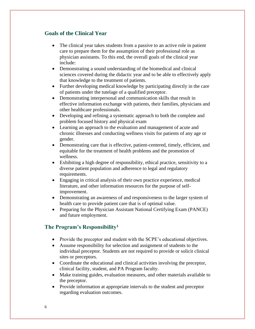#### <span id="page-6-0"></span>**Goals of the Clinical Year**

- The clinical year takes students from a passive to an active role in patient care to prepare them for the assumption of their professional role as physician assistants. To this end, the overall goals of the clinical year include:
- Demonstrating a sound understanding of the biomedical and clinical sciences covered during the didactic year and to be able to effectively apply that knowledge to the treatment of patients.
- Further developing medical knowledge by participating directly in the care of patients under the tutelage of a qualified preceptor.
- Demonstrating interpersonal and communication skills that result in effective information exchange with patients, their families, physicians and other healthcare professionals.
- Developing and refining a systematic approach to both the complete and problem focused history and physical exam
- Learning an approach to the evaluation and management of acute and chronic illnesses and conducting wellness visits for patients of any age or gender.
- Demonstrating care that is effective, patient-centered, timely, efficient, and equitable for the treatment of health problems and the promotion of wellness.
- Exhibiting a high degree of responsibility, ethical practice, sensitivity to a diverse patient population and adherence to legal and regulatory requirements.
- Engaging in critical analysis of their own practice experience, medical literature, and other information resources for the purpose of selfimprovement.
- Demonstrating an awareness of and responsiveness to the larger system of health care to provide patient care that is of optimal value.
- Preparing for the Physician Assistant National Certifying Exam (PANCE) and future employment.

#### <span id="page-6-1"></span>**The Program's Responsibility<sup>1</sup>**

- Provide the preceptor and student with the SCPE's educational objectives.
- Assume responsibility for selection and assignment of students to the individual preceptor. Students are not required to provide or solicit clinical sites or preceptors.
- Coordinate the educational and clinical activities involving the preceptor, clinical facility, student, and PA Program faculty.
- Make training guides, evaluation measures, and other materials available to the preceptor.
- Provide information at appropriate intervals to the student and preceptor regarding evaluation outcomes.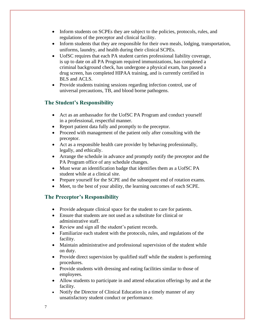- Inform students on SCPEs they are subject to the policies, protocols, rules, and regulations of the preceptor and clinical facility.
- Inform students that they are responsible for their own meals, lodging, transportation, uniforms, laundry, and health during their clinical SCPEs.
- UofSC requires that each PA student carries professional liability coverage, is up to date on all PA Program required immunizations, has completed a criminal background check, has undergone a physical exam, has passed a drug screen, has completed HIPAA training, and is currently certified in BLS and ACLS.
- Provide students training sessions regarding infection control, use of universal precautions, TB, and blood borne pathogens.

## <span id="page-7-0"></span>**The Student's Responsibility**

- Act as an ambassador for the UofSC PA Program and conduct yourself in a professional, respectful manner.
- Report patient data fully and promptly to the preceptor.
- Proceed with management of the patient only after consulting with the preceptor.
- Act as a responsible health care provider by behaving professionally, legally, and ethically.
- Arrange the schedule in advance and promptly notify the preceptor and the PA Program office of any schedule changes.
- Must wear an identification badge that identifies them as a UofSC PA student while at a clinical site.
- Prepare yourself for the SCPE and the subsequent end of rotation exams.
- Meet, to the best of your ability, the learning outcomes of each SCPE.

## <span id="page-7-1"></span>**The Preceptor's Responsibility**

- Provide adequate clinical space for the student to care for patients.
- Ensure that students are not used as a substitute for clinical or administrative staff.
- Review and sign all the student's patient records.
- Familiarize each student with the protocols, rules, and regulations of the facility.
- Maintain administrative and professional supervision of the student while on duty.
- Provide direct supervision by qualified staff while the student is performing procedures.
- Provide students with dressing and eating facilities similar to those of employees.
- Allow students to participate in and attend education offerings by and at the facility.
- Notify the Director of Clinical Education in a timely manner of any unsatisfactory student conduct or performance.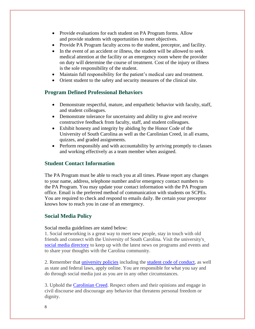- Provide evaluations for each student on PA Program forms. Allow and provide students with opportunities to meet objectives.
- Provide PA Program faculty access to the student, preceptor, and facility.
- In the event of an accident or illness, the student will be allowed to seek medical attention at the facility or an emergency room where the provider on duty will determine the course of treatment. Cost of the injury or illness is the sole responsibility of the student.
- Maintain full responsibility for the patient's medical care and treatment.
- Orient student to the safety and security measures of the clinical site.

#### <span id="page-8-0"></span>**Program Defined Professional Behaviors**

- Demonstrate respectful, mature, and empathetic behavior with faculty, staff, and student colleagues.
- Demonstrate tolerance for uncertainty and ability to give and receive constructive feedback from faculty, staff, and student colleagues.
- Exhibit honesty and integrity by abiding by the Honor Code of the University of South Carolina as well as the Carolinian Creed, in all exams, quizzes, and graded assignments.
- Perform responsibly and with accountability by arriving promptly to classes and working effectively as a team member when assigned.

#### <span id="page-8-1"></span>**Student Contact Information**

The PA Program must be able to reach you at all times. Please report any changes to your name, address, telephone number and/or emergency contact numbers to the PA Program. You may update your contact information with the PA Program office. Email is the preferred method of communication with students on SCPEs. You are required to check and respond to emails daily. Be certain your preceptor knows how to reach you in case of an emergency.

#### <span id="page-8-2"></span>**Social Media Policy**

Social media guidelines are stated below:

1. Social networking is a great way to meet new people, stay in touch with old friends and connect with the University of South Carolina. Visit the university'[s](https://www.sa.sc.edu/social-media/) [social media directory](https://www.sa.sc.edu/social-media/) to keep up with the latest news on programs and events and to share your thoughts with the Carolina community.

2. Remember that [university policies](http://www.sc.edu/policies/index.shtml) including the [student code of conduct,](http://www.sc.edu/policies/ppm/staf626.pdf) as well as state and federal laws, apply online. You are responsible for what you say and do through social media just as you are in any other circumstances.

3. Uphold the [Carolinian Creed.](https://www.sa.sc.edu/creed/) Respect others and their opinions and engage in civil discourse and discourage any behavior that threatens personal freedom or dignity.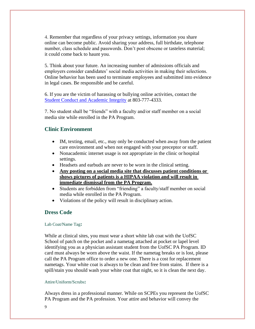4. Remember that regardless of your privacy settings, information you share online can become public. Avoid sharing your address, full birthdate, telephone number, class schedule and passwords. Don't post obscene or tasteless material; it could come back to haunt you.

5. Think about your future. An increasing number of admissions officials and employers consider candidates' social media activities in making their selections. Online behavior has been used to terminate employees and submitted into evidence in legal cases. Be responsible and be careful.

6. If you are the victim of harassing or bullying online activities, contact the [Student Conduct and Academic Integrity](https://www.sc.edu/about/offices_and_divisions/student_conduct_and_academic_integrity/index.php) at 803-777-4333.

7. No student shall be "friends" with a faculty and/or staff member on a social media site while enrolled in the PA Program.

#### **Clinic Environment**

- <span id="page-9-0"></span>• IM, texting, email, etc., may only be conducted when away from the patient care environment and when not engaged with your preceptor or staff.
- Nonacademic internet usage is not appropriate in the clinic or hospital settings.
- Headsets and earbuds are never to be worn in the clinical setting.
- **Any posting on a social media site that discusses patient conditions or shows pictures of patients is a HIPAA violation and will result in immediate dismissal from the PA Program.**
- Students are forbidden from "friending" a faculty/staff member on social media while enrolled in the PA Program.
- Violations of the policy will result in disciplinary action.

#### <span id="page-9-1"></span>**Dress Code**

#### <span id="page-9-2"></span>Lab Coat/Name Tag**:**

While at clinical sites, you must wear a short white lab coat with the UofSC School of patch on the pocket and a nametag attached at pocket or lapel level identifying you as a physician assistant student from the UofSC PA Program. ID card must always be worn above the waist. If the nametag breaks or is lost, please call the PA Program office to order a new one. There is a cost for replacement nametags. Your white coat is always to be clean and free from stains. If there is a spill/stain you should wash your white coat that night, so it is clean the next day.

#### <span id="page-9-3"></span>Attire/Uniform/Scrubs**:**

Always dress in a professional manner. While on SCPEs you represent the UofSC PA Program and the PA profession. Your attire and behavior will convey the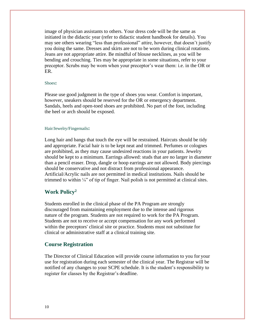image of physician assistants to others. Your dress code will be the same as initiated in the didactic year (refer to didactic student handbook for details). You may see others wearing "less than professional" attire, however, that doesn't justify you doing the same. Dresses and skirts are not to be worn during clinical rotations. Jeans are not appropriate attire. Be mindful of blouse necklines, as you will be bending and crouching. Ties may be appropriate in some situations, refer to your preceptor. Scrubs may be worn when your preceptor's wear them: i.e. in the OR or ER.

#### <span id="page-10-0"></span>Shoes**:**

Please use good judgment in the type of shoes you wear. Comfort is important, however, sneakers should be reserved for the OR or emergency department. Sandals, heels and open-toed shoes are prohibited. No part of the foot, including the heel or arch should be exposed.

#### <span id="page-10-1"></span>Hair/Jewelry/Fingernails**:**

Long hair and bangs that touch the eye will be restrained. Haircuts should be tidy and appropriate. Facial hair is to be kept neat and trimmed. Perfumes or colognes are prohibited, as they may cause undesired reactions in your patients. Jewelry should be kept to a minimum. Earrings allowed: studs that are no larger in diameter than a pencil eraser. Drop, dangle or hoop earrings are not allowed. Body piercings should be conservative and not distract from professional appearance. Artificial/Acrylic nails are not permitted in medical institutions. Nails should be trimmed to within  $\frac{1}{4}$ " of tip of finger. Nail polish is not permitted at clinical sites.

#### <span id="page-10-2"></span>**Work Policy<sup>2</sup>**

Students enrolled in the clinical phase of the PA Program are strongly discouraged from maintaining employment due to the intense and rigorous nature of the program. Students are not required to work for the PA Program. Students are not to receive or accept compensation for any work performed within the preceptors' clinical site or practice. Students must not substitute for clinical or administrative staff at a clinical training site.

#### <span id="page-10-3"></span>**Course Registration**

<span id="page-10-4"></span>The Director of Clinical Education will provide course information to you for your use for registration during each semester of the clinical year. The Registrar will be notified of any changes to your SCPE schedule. It is the student's responsibility to register for classes by the Registrar's deadline.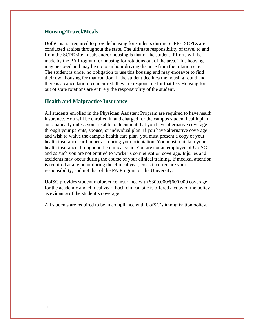#### **Housing/Travel/Meals**

UofSC is not required to provide housing for students during SCPEs. SCPEs are conducted at sites throughout the state. The ultimate responsibility of travel to and from the SCPE site, meals and/or housing is that of the student. Efforts will be made by the PA Program for housing for rotations out of the area. This housing may be co-ed and may be up to an hour driving distance from the rotation site. The student is under no obligation to use this housing and may endeavor to find their own housing for that rotation. If the student declines the housing found and there is a cancellation fee incurred, they are responsible for that fee. Housing for out of state rotations are entirely the responsibility of the student.

#### <span id="page-11-0"></span>**Health and Malpractice Insurance**

All students enrolled in the Physician Assistant Program are required to have health insurance. You will be enrolled in and charged for the campus student health plan automatically unless you are able to document that you have alternative coverage through your parents, spouse, or individual plan. If you have alternative coverage and wish to waive the campus health care plan, you must present a copy of your health insurance card in person during your orientation. You must maintain your health insurance throughout the clinical year. You are not an employee of UofSC and as such you are not entitled to worker's compensation coverage. Injuries and accidents may occur during the course of your clinical training. If medical attention is required at any point during the clinical year, costs incurred are your responsibility, and not that of the PA Program or the University.

UofSC provides student malpractice insurance with \$300,000/\$600,000 coverage for the academic and clinical year. Each clinical site is offered a copy of the policy as evidence of the student's coverage.

All students are required to be in compliance with UofSC's immunization policy.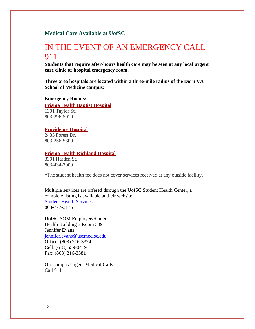#### <span id="page-12-0"></span>**Medical Care Available at UofSC**

## IN THE EVENT OF AN EMERGENCY CALL 911

**Students that require after-hours health care may be seen at any local urgent care clinic or hospital emergency room.**

**Three area hospitals are located within a three-mile radius of the Dorn VA School of Medicine campus:**

**Emergency Rooms:**

**Prisma Health Baptist Hospital**

1301 Taylor St. 803-296-5010

#### **Providence Hospital**

2435 Forest Dr. 803-256-5300

#### **Prisma Health Richland Hospital**

3301 Harden St. 803-434-7000

\*The student health fee does not cover services received at any outside facility.

Multiple services are offered through the UofSC Student Health Center, a complete listing is available at their website. [Student Health Services](https://www.sa.sc.edu/shs/) 803-777-3175

UofSC SOM Employee/Student Health Building 3 Room 309 Jennifer Evans [jennifer.evans@uscmed.sc.edu](mailto:jennifer.evans@uscmed.sc.edu) Office: (803) 216-3374 Cell: (618) 559-0419 Fax: (803) 216-3381

On-Campus Urgent Medical Calls Call 911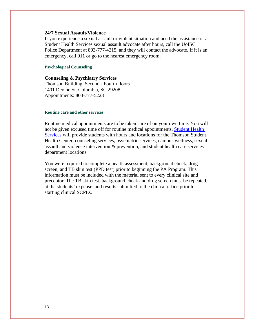#### **24/7 Sexual Assault/Violence**

If you experience a sexual assault or violent situation and need the assistance of a Student Health Services sexual assault advocate after hours, call the UofSC Police Department at 803-777-4215, and they will contact the advocate. If it is an emergency, call 911 or go to the nearest emergency room.

#### <span id="page-13-0"></span>**Psychological Counseling**

**Counseling & Psychiatry Services** Thomson Building, Second - Fourth floors 1401 Devine St. Columbia, SC 29208 Appointments: 803-777-5223

#### <span id="page-13-1"></span>**Routine care and other services**

Routine medical appointments are to be taken care of on your own time. You will not be given excused time off for routine medical appointments. [Student Health](https://sc.edu/about/offices_and_divisions/student_health_services/about/location/index.php)  [Services](https://sc.edu/about/offices_and_divisions/student_health_services/about/location/index.php) will provide students with hours and locations for the Thomson Student Health Center, counseling services, psychiatric services, campus wellness, sexual assault and violence intervention & prevention, and student health care services department locations.

You were required to complete a health assessment, background check, drug screen, and TB skin test (PPD test) prior to beginning the PA Program. This information must be included with the material sent to every clinical site and preceptor. The TB skin test, background check and drug screen must be repeated, at the students' expense, and results submitted to the clinical office prior to starting clinical SCPEs.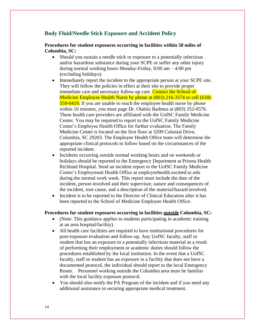#### <span id="page-14-0"></span>**Body Fluid/Needle Stick Exposure and Accident Policy**

**Procedures for student exposures occurring in facilities within 50 miles of Columbia, SC:**

- Should you sustain a needle stick or exposure to a potentially infectious and/or hazardous substance during your SCPE or suffer any other injury during normal working hours Monday-Friday, 8:00 am – 4:00 pm (excluding holidays):
- Immediately report the incident to the appropriate person at your SCPE site. They will follow the policies in effect at their site to provide proper immediate care and necessary follow-up care. Contact the School of Medicine Employee Health Nurse by phone at (803) 216-3374 or cell (618) 559-0419. If you are unable to reach the employee health nurse by phone within 10 minutes, you must page Dr. Olabisi Badmus at (803) 352-0576. These health care providers are affiliated with the UofSC Family Medicine Center. You may be required to report to the UofSC Family Medicine Center's Employee Health Office for further evaluation. The Family Medicine Center is located on the first floor at 3209 Colonial Drive, Columbia, SC 29203. The Employee Health Office team will determine the appropriate clinical protocols to follow based on the circumstances of the reported incident.
- Incidents occurring outside normal working hours and on weekends or holidays should be reported to the Emergency Department at Prisma Health Richland Hospital. Send an incident report to the UofSC Family Medicine Center's Employment Health Office at employeehealth.uscmed.sc.edu during the normal work week. This report must include the date of the incident, person involved and their supervisor, nature and consequences of the incident, root cause, and a description of the material/hazard involved.
- Incident is to be reported to the Director of Clinical Education after it has been reported to the School of Medicine Employee Health Office.

#### **Procedures for student exposures occurring in facilities outside Columbia, SC:**

- (Note: This guidance applies to students participating in academic training at an area hospital/facility).
- All health care facilities are required to have institutional procedures for post-exposure evaluation and follow-up. Any UofSC faculty, staff or student that has an exposure to a potentially infectious material as a result of performing their employment or academic duties should follow the procedures established by the local institution. In the event that a UofSC faculty, staff or student has an exposure in a facility that does not have a documented protocol, the individual should report to the local Emergency Room. Personnel working outside the Columbia area must be familiar with the local facility exposure protocol.
- You should also notify the PA Program of the incident and if you need any additional assistance in securing appropriate medical treatment.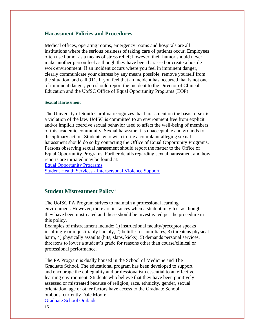#### <span id="page-15-0"></span>**Harassment Policies and Procedures**

Medical offices, operating rooms, emergency rooms and hospitals are all institutions where the serious business of taking care of patients occur. Employees often use humor as a means of stress relief; however, their humor should never make another person feel as though they have been harassed or create a hostile work environment. If an incident occurs where you feel in imminent danger, clearly communicate your distress by any means possible, remove yourself from the situation, and call 911. If you feel that an incident has occurred that is not one of imminent danger, you should report the incident to the Director of Clinical Education and the UofSC Office of Equal Opportunity Programs (EOP).

#### <span id="page-15-1"></span>**Sexual Harassment**

The University of South Carolina recognizes that harassment on the basis of sex is a violation of the law. UofSC is committed to an environment free from explicit and/or implicit coercive sexual behavior used to affect the well-being of members of this academic community. Sexual harassment is unacceptable and grounds for disciplinary action. Students who wish to file a complaint alleging sexual harassment should do so by contacting the Office of Equal Opportunity Programs. Persons observing sexual harassment should report the matter to the Office of Equal Opportunity Programs. Further details regarding sexual harassment and how reports are initiated may be found at:

[Equal Opportunity Programs](https://www.sc.edu/about/offices_and_divisions/equal_opportunities_programs/policies/index.php)

Student Health Services - [Interpersonal Violence Support](https://www.sa.sc.edu/shs/savip/)

#### <span id="page-15-2"></span>**Student Mistreatment Policy<sup>3</sup>**

The UofSC PA Program strives to maintain a professional learning environment. However, there are instances when a student may feel as though they have been mistreated and these should be investigated per the procedure in this policy.

Examples of mistreatment include: 1) instructional faculty/preceptor speaks insultingly or unjustifiably harshly, 2) belittles or humiliates, 3) threatens physical harm, 4) physically assaults (hits, slaps, kicks), 5) demands personal services, threatens to lower a student's grade for reasons other than course/clinical or professional performance.

The PA Program is dually housed in the School of Medicine and The Graduate School. The educational program has been developed to support and encourage the collegiality and professionalism essential to an effective learning environment. Students who believe that they have been punitively assessed or mistreated because of religion, race, ethnicity, gender, sexual orientation, age or other factors have access to the Graduate School ombuds, currently Dale Moore.

[Graduate School Ombuds](https://sc.edu/study/colleges_schools/graduate_school/opportunities_support/ombuds/index.php)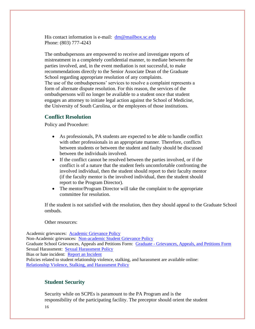His contact information is e-mail:  $dm@mailboxsc{.}sc.edu$ Phone: (803) 777-4243

The ombudspersons are empowered to receive and investigate reports of mistreatment in a completely confidential manner, to mediate between the parties involved, and, in the event mediation is not successful, to make recommendations directly to the Senior Associate Dean of the Graduate School regarding appropriate resolution of any complaints. The use of the ombudspersons' services to resolve a complaint represents a form of alternate dispute resolution. For this reason, the services of the ombudspersons will no longer be available to a student once that student engages an attorney to initiate legal action against the School of Medicine, the University of South Carolina, or the employees of those institutions.

#### <span id="page-16-0"></span>**Conflict Resolution**

Policy and Procedure:

- As professionals, PA students are expected to be able to handle conflict with other professionals in an appropriate manner. Therefore, conflicts between students or between the student and faulty should be discussed between the individuals involved.
- If the conflict cannot be resolved between the parties involved, or if the conflict is of a nature that the student feels uncomfortable confronting the involved individual, then the student should report to their faculty mentor (if the faculty mentor is the involved individual, then the student should report to the Program Director).
- The mentor/Program Director will take the complaint to the appropriate committee for resolution.

If the student is not satisfied with the resolution, then they should appeal to the Graduate School ombuds.

Other resources:

Academic grievances: [Academic Grievance Policy](http://www.sc.edu/policies/ppm/staf630.pdf) Non-Academic grievances: [Non-academic Student Grievance Policy](http://www.sc.edu/policies/ppm/staf627.pdf) Graduate School Grievances, Appeals and Petitions Form: Graduate - [Grievances, Appeals, and Petitions Form](https://www.sc.edu/study/colleges_schools/graduate_school/documents/g-gap.pdf) Sexual Harassment: [Sexual Harassment Policy](http://www.sc.edu/policies/ppm/eop102.pdf) Bias or hate incident: [Report an Incident](https://www.sc.edu/about/offices_and_divisions/diversity_equity_and_inclusion/report_an_incident/index.php)

Policies related to student relationship violence, stalking, and harassment are available online: [Relationship Violence, Stalking, and Harassment Policy](http://www.sc.edu/policies/ppm/staf109.pdf)

#### **Student Security**

Security while on SCPEs is paramount to the PA Program and is the responsibility of the participating facility. The preceptor should orient the student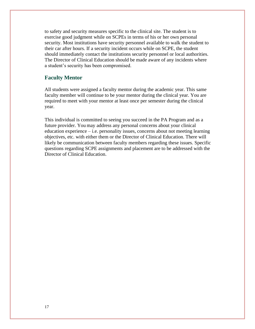to safety and security measures specific to the clinical site. The student is to exercise good judgment while on SCPEs in terms of his or her own personal security. Most institutions have security personnel available to walk the student to their car after hours. If a security incident occurs while on SCPE, the student should immediately contact the institutions security personnel or local authorities. The Director of Clinical Education should be made aware of any incidents where a student's security has been compromised.

#### <span id="page-17-0"></span>**Faculty Mentor**

All students were assigned a faculty mentor during the academic year. This same faculty member will continue to be your mentor during the clinical year. You are required to meet with your mentor at least once per semester during the clinical year.

This individual is committed to seeing you succeed in the PA Program and as a future provider. You may address any personal concerns about your clinical education experience – i.e. personality issues, concerns about not meeting learning objectives, etc. with either them or the Director of Clinical Education. There will likely be communication between faculty members regarding these issues. Specific questions regarding SCPE assignments and placement are to be addressed with the Director of Clinical Education.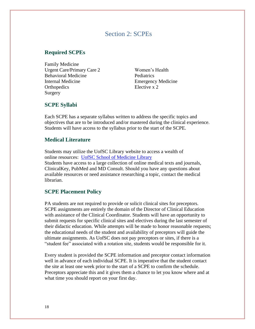## Section 2: SCPEs

#### <span id="page-18-1"></span><span id="page-18-0"></span>**Required SCPEs**

Family Medicine Urgent Care/Primary Care 2 Women's Health Behavioral Medicine Pediatrics Internal Medicine Emergency Medicine Orthopedics Elective x 2 Surgery

#### <span id="page-18-2"></span>**SCPE Syllabi**

Each SCPE has a separate syllabus written to address the specific topics and objectives that are to be introduced and/or mastered during the clinical experience. Students will have access to the syllabus prior to the start of the SCPE.

#### <span id="page-18-3"></span>**Medical Literature**

Students may utilize the UofSC Library website to access a wealth of online resources: [UofSC School of Medicine Library](http://uscm.med.sc.edu/) Students have access to a large collection of online medical texts and journals, ClinicalKey, PubMed and MD Consult. Should you have any questions about available resources or need assistance researching a topic, contact the medical librarian.

#### <span id="page-18-4"></span>**SCPE Placement Policy**

PA students are not required to provide or solicit clinical sites for preceptors. SCPE assignments are entirely the domain of the Director of Clinical Education with assistance of the Clinical Coordinator. Students will have an opportunity to submit requests for specific clinical sites and electives during the last semester of their didactic education. While attempts will be made to honor reasonable requests; the educational needs of the student and availability of preceptors will guide the ultimate assignments. As UofSC does not pay preceptors or sites, if there is a "student fee" associated with a rotation site, students would be responsible for it.

Every student is provided the SCPE information and preceptor contact information well in advance of each individual SCPE. It is imperative that the student contact the site at least one week prior to the start of a SCPE to confirm the schedule. Preceptors appreciate this and it gives them a chance to let you know where and at what time you should report on your first day.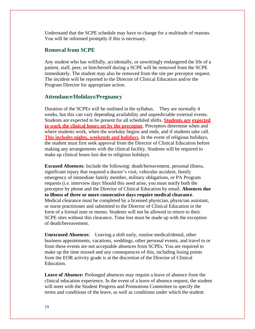Understand that the SCPE schedule may have to change for a multitude of reasons. You will be informed promptly if this is necessary.

#### <span id="page-19-0"></span>**Removal from SCPE**

Any student who has willfully, accidentally, or unwittingly endangered the life of a patient, staff, peer, or him/herself during a SCPE will be removed from the SCPE immediately. The student may also be removed from the site per preceptor request. The incident will be reported to the Director of Clinical Education and/or the Program Director for appropriate action.

#### <span id="page-19-1"></span>**Attendance/Holidays/Pregnancy**

Duration of the SCPEs will be outlined in the syllabus. They are normally 4 weeks, but this can vary depending availability and unpredictable external events. Students are expected to be present for all scheduled shifts. **Students are expected to work the clinical hours set by the preceptor.** Preceptors determine when and where students work, when the workday begins and ends, and if students take call. **This includes nights, weekends and holidays**. In the event of religious holidays, the student must first seek approval from the Director of Clinical Education before making any arrangements with the clinical facility. Students will be required to make up clinical hours lost due to religious holidays.

**Excused Absences**: Include the following: death/bereavement, personal illness, significant injury that required a doctor's visit, vehicular accident, family emergency of immediate family member, military obligations, or PA Program requests (i.e. interview days Should this need arise, you must notify both the preceptor by phone and the Director of Clinical Education by email. **Absences due to illness of three or more consecutive days require medical clearance**. Medical clearance must be completed by a licensed physician, physician assistant, or nurse practitioner and submitted to the Director of Clinical Education in the form of a formal note or memo. Students will not be allowed to return to their SCPE sites without this clearance. Time lost must be made up with the exception of death/bereavement.

**Unexcused Absences**: Leaving a shift early, routine medical/dental, other business appointments, vacations, weddings, other personal events, and travel to or from these events are not acceptable absences from SCPEs. You are required to make up the time missed and any consequences of this, including losing points from the EOR activity grade is at the discretion of the Director of Clinical Education.

**Leave of Absence:** Prolonged absences may require a leave of absence from the clinical education experience. In the event of a leave of absence request, the student will meet with the Student Progress and Promotions Committee to specify the terms and conditions of the leave, as well as conditions under which the student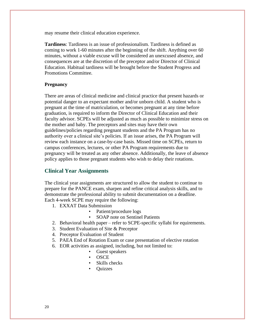may resume their clinical education experience.

**Tardiness**: Tardiness is an issue of professionalism. Tardiness is defined as coming to work 1-60 minutes after the beginning of the shift. Anything over 60 minutes, without a viable excuse will be considered an unexcused absence, and consequences are at the discretion of the preceptor and/or Director of Clinical Education. Habitual tardiness will be brought before the Student Progress and Promotions Committee.

#### **Pregnancy**

There are areas of clinical medicine and clinical practice that present hazards or potential danger to an expectant mother and/or unborn child. A student who is pregnant at the time of matriculation, or becomes pregnant at any time before graduation, is required to inform the Director of Clinical Education and their faculty advisor. SCPEs will be adjusted as much as possible to minimize stress on the mother and baby. The preceptors and sites may have their own guidelines/policies regarding pregnant students and the PA Program has no authority over a clinical site's policies. If an issue arises, the PA Program will review each instance on a case-by-case basis. Missed time on SCPEs, return to campus conferences, lectures, or other PA Program requirements due to pregnancy will be treated as any other absence. Additionally, the leave of absence policy applies to those pregnant students who wish to delay their rotations.

#### <span id="page-20-0"></span>**Clinical Year Assignments**

The clinical year assignments are structured to allow the student to continue to prepare for the PANCE exam, sharpen and refine critical analysis skills, and to demonstrate the professional ability to submit documentation on a deadline. Each 4-week SCPE may require the following:

- 1. EXXAT Data Submission
	- Patient/procedure logs
	- SOAP note on Sentinel Patients
- 2. Behavioral health paper refer to SCPE-specific syllabi for equirements.
- 3. Student Evaluation of Site & Preceptor
- 4. Preceptor Evaluation of Student
- 5. PAEA End of Rotation Exam or case presentation of elective rotation
- 6. EOR activities as assigned, including, but not limited to:
	- Guest speakers
	- OSCE
	- Skills checks
	- Quizzes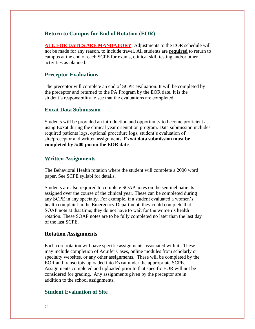#### <span id="page-21-0"></span>**Return to Campus for End of Rotation (EOR)**

<span id="page-21-1"></span>**ALL EOR DATES ARE MANDATORY**. Adjustments to the EOR schedule will not be made for any reason, to include travel. All students are **required** to return to campus at the end of each SCPE for exams, clinical skill testing and/or other activities as planned.

#### **Preceptor Evaluations**

The preceptor will complete an end of SCPE evaluation. It will be completed by the preceptor and returned to the PA Program by the EOR date. It is the student's responsibility to see that the evaluations are completed.

#### <span id="page-21-2"></span>**Exxat Data Submission**

Students will be provided an introduction and opportunity to become proficient at using Exxat during the clinical year orientation program. Data submission includes required patients logs, optional procedure logs, student's evaluation of site/preceptor and written assignments. **Exxat data submission must be completed by 5:00 pm on the EOR date**.

#### <span id="page-21-3"></span>**Written Assignments**

<span id="page-21-4"></span>The Behavioral Health rotation where the student will complete a 2000 word paper. See SCPE syllabi for details.

Students are also required to complete SOAP notes on the sentinel patients assigned over the course of the clinical year. These can be completed during any SCPE in any specialty. For example, if a student evaluated a women's health complaint in the Emergency Department, they could complete that SOAP note at that time; they do not have to wait for the women's health rotation. These SOAP notes are to be fully completed no later than the last day of the last SCPE.

#### **Rotation Assignments**

Each core rotation will have specific assignments associated with it. These may include completion of Aquifer Cases, online modules from scholarly or specialty websites, or any other assignments. These will be completed by the EOR and transcripts uploaded into Exxat under the appropriate SCPE. Assignments completed and uploaded prior to that specific EOR will not be considered for grading. Any assignments given by the preceptor are in addition to the school assignments.

#### **Student Evaluation of Site**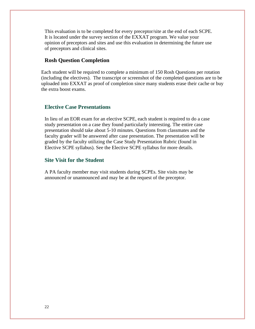<span id="page-22-0"></span>This evaluation is to be completed for every preceptor/site at the end of each SCPE. It is located under the survey section of the EXXAT program. We value your opinion of preceptors and sites and use this evaluation in determining the future use of preceptors and clinical sites.

#### **Rosh Question Completion**

Each student will be required to complete a minimum of 150 Rosh Questions per rotation (including the electives). The transcript or screenshot of the completed questions are to be uploaded into EXXAT as proof of completion since many students erase their cache or buy the extra boost exams.

#### **Elective Case Presentations**

In lieu of an EOR exam for an elective SCPE, each student is required to do a case study presentation on a case they found particularly interesting. The entire case presentation should take about 5-10 minutes. Questions from classmates and the faculty grader will be answered after case presentation. The presentation will be graded by the faculty utilizing the Case Study Presentation Rubric (found in Elective SCPE syllabus). See the Elective SCPE syllabus for more details.

#### <span id="page-22-1"></span>**Site Visit for the Student**

A PA faculty member may visit students during SCPEs. Site visits may be announced or unannounced and may be at the request of the preceptor.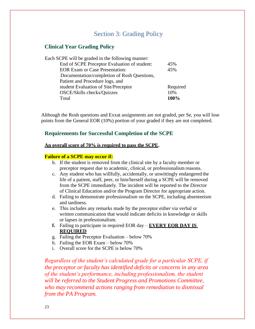## Section 3: Grading Policy

#### <span id="page-23-1"></span><span id="page-23-0"></span>**Clinical Year Grading Policy**

| Each SCPE will be graded in the following manner: |          |
|---------------------------------------------------|----------|
| End of SCPE Preceptor Evaluation of student:      | 45%      |
| <b>EOR Exam or Case Presentation:</b>             | 45%      |
| Documentation/completion of Rosh Questions,       |          |
| Patient and Procedure logs, and                   |          |
| student Evaluation of Site/Preceptor              | Required |
| OSCE/Skills checks/Quizzes                        | 10%      |
| Total                                             | 100%     |
|                                                   |          |

<span id="page-23-2"></span>Although the Rosh questions and Exxat assignments are not graded, per Se, you will lose points from the General EOR (10%) portion of your graded if they are not completed.

#### **Requirements for Successful Completion of the SCPE**

#### **An overall score of 70% is required to pass the SCPE.**

#### **Failure of a SCPE may occur if:**

- b. If the student is removed from the clinical site by a faculty member or preceptor request due to academic, clinical, or professionalism reasons.
- c. Any student who has willfully, accidentally, or unwittingly endangered the life of a patient, staff, peer, or him/herself during a SCPE will be removed from the SCPE immediately. The incident will be reported to the Director of Clinical Education and/or the Program Director for appropriate action.
- d. Failing to demonstrate professionalism on the SCPE, including absenteeism and tardiness.
- e. This includes any remarks made by the preceptor either via verbal or written communication that would indicate deficits in knowledge or skills or lapses in professionalism.
- **f.** Failing to participate in required EOR day **EVERY EOR DAY IS REQUIRED**
- g. Failing the Preceptor Evaluation below 70%
- h. Failing the EOR Exam below 70%
- i. Overall score for the SCPE is below 70%

*Regardless of the student's calculated grade for a particular SCPE, if the preceptor or faculty has identified deficits or concerns in any area of the student's performance, including professionalism, the student will be referred to the Student Progress and Promotions Committee, who may recommend actions ranging from remediation to dismissal from the PA Program.*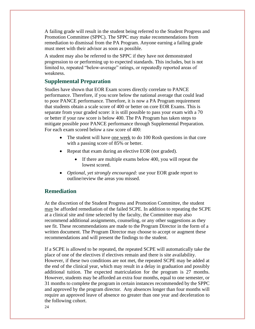A failing grade will result in the student being referred to the Student Progress and Promotion Committee (SPPC). The SPPC may make recommendations from remediation to dismissal from the PA Program. Anyone earning a failing grade must meet with their advisor as soon as possible.

A student may also be referred to the SPPC if they have not demonstrated progression to or performing up to expected standards. This includes, but is not limited to, repeated "below-average" ratings, or repeatedly reported areas of weakness.

#### **Supplemental Preparation**

Studies have shown that EOR Exam scores directly correlate to PANCE performance. Therefore, if you score below the national average that could lead to poor PANCE performance. Therefore, it is now a PA Program requirement that students obtain a scale score of 400 or better on core EOR Exams. This is separate from your graded score: it is still possible to pass your exam with a 70 or better if your raw score is below 400. The PA Program has taken steps to mitigate possible poor PANCE performance through Supplemental Preparation. For each exam scored below a raw score of 400:

- The student will have one week to do 100 Rosh questions in that core with a passing score of 85% or better.
- Repeat that exam during an elective EOR (not graded).
	- If there are multiple exams below 400, you will repeat the lowest scored.
- *Optional, yet strongly encouraged:* use your EOR grade report to outline/review the areas you missed.

#### <span id="page-24-0"></span>**Remediation**

At the discretion of the Student Progress and Promotion Committee, the student may be afforded remediation of the failed SCPE. In addition to repeating the SCPE at a clinical site and time selected by the faculty, the Committee may also recommend additional assignments, counseling, or any other suggestions as they see fit. These recommendations are made to the Program Director in the form of a written document. The Program Director may choose to accept or augment these recommendations and will present the findings to the student.

If a SCPE is allowed to be repeated, the repeated SCPE will automatically take the place of one of the electives if electives remain and there is site availability. However, if these two conditions are not met, the repeated SCPE may be added at the end of the clinical year, which may result in a delay in graduation and possibly additional tuition. The expected matriculation for the program is 27 months. However, students may be afforded an extra four months, equal to one semester, or 31 months to complete the program in certain instances recommended by the SPPC and approved by the program director. Any absences longer than four months will require an approved leave of absence no greater than one year and deceleration to the following cohort.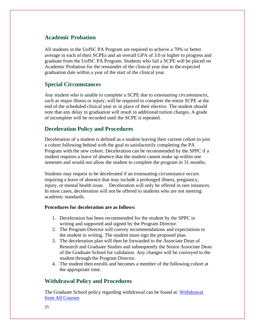#### <span id="page-25-0"></span>**Academic Probation**

All students in the UofSC PA Program are required to achieve a 70% or better average in each of their SCPEs and an overall GPA of 3.0 or higher to progress and graduate from the UofSC PA Program. Students who fail a SCPE will be placed on Academic Probation for the remainder of the clinical year due to the expected graduation date within a year of the start of the clinical year.

#### <span id="page-25-1"></span>**Special Circumstances**

Any student who is unable to complete a SCPE due to *extenuating circumstances*, such as major illness or injury, will be required to complete the entire SCPE at the end of the scheduled clinical year or in place of their elective. The student should note that any delay in graduation will result in additional tuition charges. A grade of incomplete will be recorded until the SCPE is repeated.

#### <span id="page-25-2"></span>**Deceleration Policy and Procedures**

Deceleration of a student is defined as a student leaving their current cohort to join a cohort following behind with the goal to satisfactorily completing the PA Program with the new cohort. Deceleration can be recommended by the SPPC if a student requires a leave of absence that the student cannot make up within one semester and would not allow the student to complete the program in 31 months.

Students may request to be decelerated if an extenuating circumstance occurs requiring a leave of absence that may include a prolonged illness, pregnancy, injury, or mental health issue. Deceleration will only be offered in rare instances. In most cases, deceleration will not be offered to students who are not meeting academic standards.

#### **Procedures for deceleration are as follows:**

- 1. Deceleration has been recommended for the student by the SPPC in writing and supported and signed by the Program Director.
- 2. The Program Director will convey recommendations and expectations to the student in writing. The student must sign the proposed plan.
- 3. The deceleration plan will then be forwarded to the Associate Dean of Research and Graduate Studies and subsequently the Senior Associate Dean of the Graduate School for validation. Any changes will be conveyed to the student through the Program Director.
- 4. The student then enrolls and becomes a member of the following cohort at the appropriate time.

#### <span id="page-25-3"></span>**Withdrawal Policy and Procedures**

The Graduate School policy regarding withdrawal can be found at: Withdrawal [from All Courses](http://bulletin.sc.edu/content.php?catoid=78&navoid=2271&Withdrawal_from_All_Courses)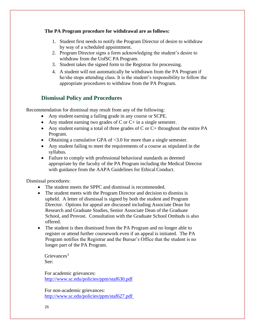#### **The PA Program procedure for withdrawal are as follows:**

- 1. Student first needs to notify the Program Director of desire to withdraw by way of a scheduled appointment.
- 2. Program Director signs a form acknowledging the student's desire to withdraw from the UofSC PA Program.
- 3. Student takes the signed form to the Registrar for processing.
- <span id="page-26-0"></span>4. A student will not automatically be withdrawn from the PA Program if he/she stops attending class. It is the student's responsibility to follow the appropriate procedures to withdraw from the PA Program.

## **Dismissal Policy and Procedures**

Recommendation for dismissal may result from any of the following:

- Any student earning a failing grade in any course or SCPE.
- Any student earning two grades of  $C$  or  $C$  + in a single semester.
- Any student earning a total of three grades of C or  $C$ + throughout the entire PA Program.
- Obtaining a cumulative GPA of  $\leq$ 3.0 for more than a single semester.
- Any student failing to meet the requirements of a course as stipulated in the syllabus.
- Failure to comply with professional behavioral standards as deemed appropriate by the faculty of the PA Program including the Medical Director with guidance from the AAPA Guidelines for Ethical Conduct.

Dismissal procedures:

- The student meets the SPPC and dismissal is recommended.
- The student meets with the Program Director and decision to dismiss is upheld. A letter of dismissal is signed by both the student and Program Director. Options for appeal are discussed including Associate Dean for Research and Graduate Studies, Senior Associate Dean of the Graduate School, and Provost. Consultation with the Graduate School Ombuds is also offered.
- The student is then dismissed from the PA Program and no longer able to register or attend further coursework even if an appeal is initiated. The PA Program notifies the Registrar and the Bursar's Office that the student is no longer part of the PA Program.

Grievances<sup>3</sup> See:

For academic grievances: <http://www.sc.edu/policies/ppm/staf630.pdf>

For non-academic grievances: <http://www.sc.edu/policies/ppm/staf627.pdf>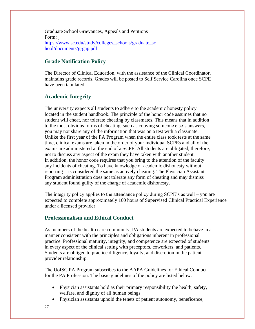Graduate School Grievances, Appeals and Petitions Form: [https://www.sc.edu/study/colleges\\_schools/graduate\\_sc](https://www.sc.edu/study/colleges_schools/graduate_school/documents/g-gap.pdf) [hool/documents/g-gap.pdf](https://www.sc.edu/study/colleges_schools/graduate_school/documents/g-gap.pdf)

#### <span id="page-27-0"></span>**Grade Notification Policy**

<span id="page-27-1"></span>The Director of Clinical Education, with the assistance of the Clinical Coordinator, maintains grade records. Grades will be posted to Self Service Carolina once SCPE have been tabulated.

## **Academic Integrity**

The university expects all students to adhere to the academic honesty policy located in the student handbook. The principle of the honor code assumes that no student will cheat, nor tolerate cheating by classmates. This means that in addition to the most obvious forms of cheating, such as copying someone else's answers, you may not share any of the information that was on a test with a classmate. Unlike the first year of the PA Program when the entire class took tests at the same time, clinical exams are taken in the order of your individual SCPEs and all of the exams are administered at the end of a SCPE. All students are obligated, therefore, not to discuss any aspect of the exam they have taken with another student. In addition, the honor code requires that you bring to the attention of the faculty any incidents of cheating. To have knowledge of academic dishonesty without reporting it is considered the same as actively cheating. The Physician Assistant Program administration does not tolerate any form of cheating and may dismiss any student found guilty of the charge of academic dishonesty.

The integrity policy applies to the attendance policy during SCPE's as well – you are expected to complete approximately 160 hours of Supervised Clinical Practical Experience under a licensed provider.

## <span id="page-27-2"></span>**Professionalism and Ethical Conduct**

As members of the health care community, PA students are expected to behave in a manner consistent with the principles and obligations inherent in professional practice. Professional maturity, integrity, and competence are expected of students in every aspect of the clinical setting with preceptors, coworkers, and patients. Students are obliged to practice diligence, loyalty, and discretion in the patientprovider relationship.

The UofSC PA Program subscribes to the AAPA Guidelines for Ethical Conduct for the PA Profession. The basic guidelines of the policy are listed below.

- Physician assistants hold as their primary responsibility the health, safety, welfare, and dignity of all human beings.
- Physician assistants uphold the tenets of patient autonomy, beneficence,
- 27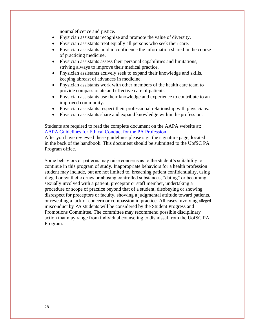nonmaleficence and justice.

- Physician assistants recognize and promote the value of diversity.
- Physician assistants treat equally all persons who seek their care.
- Physician assistants hold in confidence the information shared in the course of practicing medicine.
- Physician assistants assess their personal capabilities and limitations, striving always to improve their medical practice.
- Physician assistants actively seek to expand their knowledge and skills, keeping abreast of advances in medicine.
- Physician assistants work with other members of the health care team to provide compassionate and effective care of patients.
- Physician assistants use their knowledge and experience to contribute to an improved community.
- Physician assistants respect their professional relationship with physicians.
- Physician assistants share and expand knowledge within the profession.

Students are required to read the complete document on the AAPA website at: [AAPA Guidelines for Ethical Conduct for the PA Profession](https://www.aapa.org/wp-content/uploads/2017/02/16-EthicalConduct.pdf)

After you have reviewed these guidelines please sign the signature page, located in the back of the handbook. This document should be submitted to the UofSC PA Program office.

Some behaviors or patterns may raise concerns as to the student's suitability to continue in this program of study. Inappropriate behaviors for a health profession student may include, but are not limited to, breaching patient confidentiality, using illegal or synthetic drugs or abusing controlled substances, "dating" or becoming sexually involved with a patient, preceptor or staff member, undertaking a procedure or scope of practice beyond that of a student, disobeying or showing disrespect for preceptors or faculty, showing a judgmental attitude toward patients, or revealing a lack of concern or compassion in practice. All cases involving alleged misconduct by PA students will be considered by the Student Progress and Promotions Committee. The committee may recommend possible disciplinary action that may range from individual counseling to dismissal from the UofSC PA Program.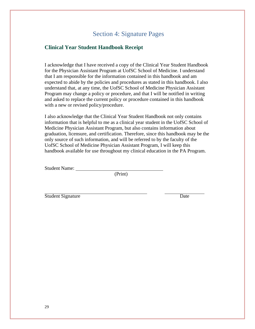## Section 4: Signature Pages

#### <span id="page-29-1"></span><span id="page-29-0"></span>**Clinical Year Student Handbook Receipt**

I acknowledge that I have received a copy of the Clinical Year Student Handbook for the Physician Assistant Program at UofSC School of Medicine. I understand that I am responsible for the information contained in this handbook and am expected to abide by the policies and procedures as stated in this handbook. I also understand that, at any time, the UofSC School of Medicine Physician Assistant Program may change a policy or procedure, and that I will be notified in writing and asked to replace the current policy or procedure contained in this handbook with a new or revised policy/procedure.

I also acknowledge that the Clinical Year Student Handbook not only contains information that is helpful to me as a clinical year student in the UofSC School of Medicine Physician Assistant Program, but also contains information about graduation, licensure, and certification. Therefore, since this handbook may be the only source of such information, and will be referred to by the faculty of the UofSC School of Medicine Physician Assistant Program, I will keep this handbook available for use throughout my clinical education in the PA Program.

Student Name:

(Print)

Student Signature Date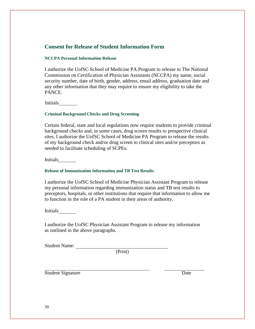#### <span id="page-30-0"></span>**Consent for Release of Student Information Form**

#### <span id="page-30-1"></span>**NCCPA Personal Information Release**

I authorize the UofSC School of Medicine PA Program to release to The National Commission on Certification of Physician Assistants (NCCPA) my name, social security number, date of birth, gender, address, email address, graduation date and any other information that they may require to ensure my eligibility to take the PANCE.

<span id="page-30-2"></span>Initials

#### **Criminal Background Checks and Drug Screening**

Certain federal, state and local regulations now require students to provide criminal background checks and, in some cases, drug screen results to prospective clinical sites. I authorize the UofSC School of Medicine PA Program to release the results of my background check and/or drug screen to clinical sites and/or preceptors as needed to facilitate scheduling of SCPEs.

Initials

#### <span id="page-30-3"></span>**Release of Immunization Information and TB Test Results**

I authorize the UofSC School of Medicine Physician Assistant Program to release my personal information regarding immunization status and TB test results to preceptors, hospitals, or other institutions that require that information to allow me to function in the role of a PA student in their areas of authority.

Initials

I authorize the UofSC Physician Assistant Program to release my information as outlined in the above paragraphs.

Student Name:

(Print)

Student Signature Date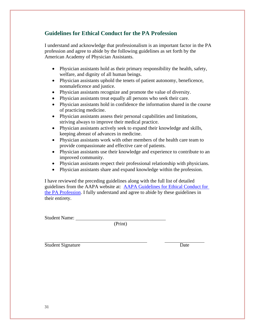## <span id="page-31-0"></span>**Guidelines for Ethical Conduct for the PA Profession**

I understand and acknowledge that professionalism is an important factor in the PA profession and agree to abide by the following guidelines as set forth by the American Academy of Physician Assistants.

- Physician assistants hold as their primary responsibility the health, safety, welfare, and dignity of all human beings.
- Physician assistants uphold the tenets of patient autonomy, beneficence, nonmaleficence and justice.
- Physician assistants recognize and promote the value of diversity.
- Physician assistants treat equally all persons who seek their care.
- Physician assistants hold in confidence the information shared in the course of practicing medicine.
- Physician assistants assess their personal capabilities and limitations, striving always to improve their medical practice.
- Physician assistants actively seek to expand their knowledge and skills, keeping abreast of advances in medicine.
- Physician assistants work with other members of the health care team to provide compassionate and effective care of patients.
- Physician assistants use their knowledge and experience to contribute to an improved community.
- Physician assistants respect their professional relationship with physicians.
- Physician assistants share and expand knowledge within the profession.

I have reviewed the preceding guidelines along with the full list of detailed guidelines from the AAPA website at: [AAPA Guidelines for Ethical Conduct for](https://www.aapa.org/wp-content/uploads/2017/02/16-EthicalConduct.pdf)  [the PA Profession.](https://www.aapa.org/wp-content/uploads/2017/02/16-EthicalConduct.pdf) I fully understand and agree to abide by these guidelines in their entirety.

Student Name:

(Print)

Student Signature Date